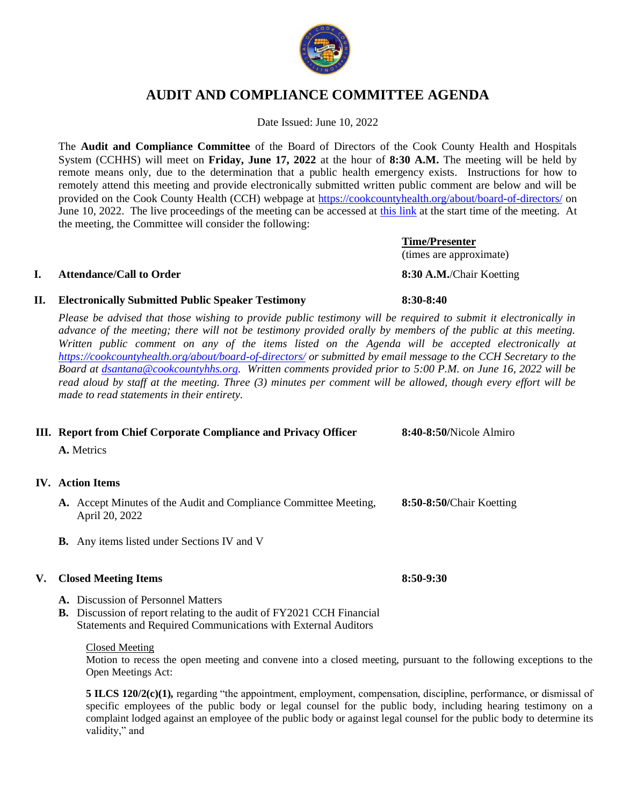

# **AUDIT AND COMPLIANCE COMMITTEE AGENDA**

Date Issued: June 10, 2022

The **Audit and Compliance Committee** of the Board of Directors of the Cook County Health and Hospitals System (CCHHS) will meet on **Friday, June 17, 2022** at the hour of **8:30 A.M.** The meeting will be held by remote means only, due to the determination that a public health emergency exists. Instructions for how to remotely attend this meeting and provide electronically submitted written public comment are below and will be provided on the Cook County Health (CCH) webpage at<https://cookcountyhealth.org/about/board-of-directors/> on June 10, 2022. The live proceedings of the meeting can be accessed at [this link](https://www.youtube.com/channel/UCj9DT_l0RU-MVC-_u-tOkZA) at the start time of the meeting. At the meeting, the Committee will consider the following:

## **I. Attendance/Call to Order 8:30 A.M.**/Chair Koetting

# **II. Electronically Submitted Public Speaker Testimony 8:30-8:40**

*Please be advised that those wishing to provide public testimony will be required to submit it electronically in advance of the meeting; there will not be testimony provided orally by members of the public at this meeting. Written public comment on any of the items listed on the Agenda will be accepted electronically at <https://cookcountyhealth.org/about/board-of-directors/> or submitted by email message to the CCH Secretary to the Board at [dsantana@cookcountyhhs.org.](mailto:dsantana@cookcountyhhs.org) Written comments provided prior to 5:00 P.M. on June 16, 2022 will be read aloud by staff at the meeting. Three (3) minutes per comment will be allowed, though every effort will be made to read statements in their entirety.*

|  | III. Report from Chief Corporate Compliance and Privacy Officer | 8:40-8:50/Nicole Almiro |
|--|-----------------------------------------------------------------|-------------------------|
|--|-----------------------------------------------------------------|-------------------------|

**A.** Metrics

## **IV. Action Items**

- **A.** Accept Minutes of the Audit and Compliance Committee Meeting, **8:50-8:50/**Chair Koetting April 20, 2022
- **B.** Any items listed under Sections IV and V

## **V. Closed Meeting Items 8:50-9:30**

- **A.** Discussion of Personnel Matters
- **B.** Discussion of report relating to the audit of FY2021 CCH Financial Statements and Required Communications with External Auditors

#### Closed Meeting

Motion to recess the open meeting and convene into a closed meeting, pursuant to the following exceptions to the Open Meetings Act:

**5 ILCS 120/2(c)(1),** regarding "the appointment, employment, compensation, discipline, performance, or dismissal of specific employees of the public body or legal counsel for the public body, including hearing testimony on a complaint lodged against an employee of the public body or against legal counsel for the public body to determine its validity," and

(times are approximate)

**Time/Presenter**